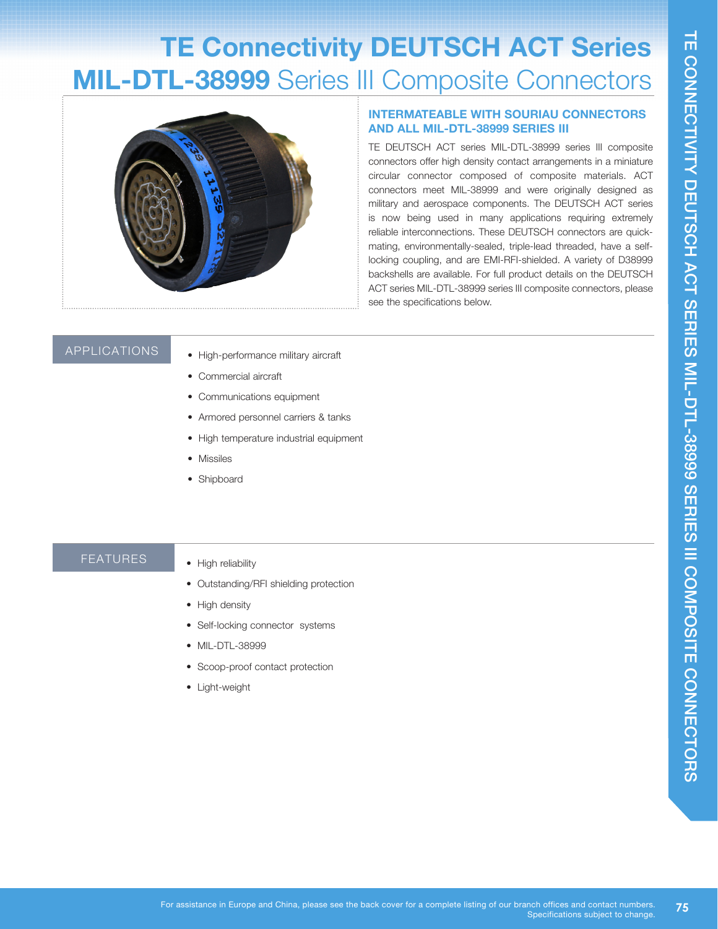# **TE Connectivity DEUTSCH ACT Series MIL-DTL-38999** Series III Composite Connectors



## **AND ALL MIL-DTL-38999 SERIES III**

THE DEVITSCH ACT Series of Composite Connector's and a connector's and a connection of the series in a minister connector soffer high density contact anangements in a minister circuscite circus of composite materials. ACT TE DEUTSCH ACT series MIL-DTL-38999 series III composite connectors offer high density contact arrangements in a miniature circular connector composed of composite materials. ACT connectors meet MIL-38999 and were originally designed as military and aerospace components. The DEUTSCH ACT series is now being used in many applications requiring extremely reliable interconnections. These DEUTSCH connectors are quickmating, environmentally-sealed, triple-lead threaded, have a selflocking coupling, and are EMI-RFI-shielded. A variety of D38999 backshells are available. For full product details on the DEUTSCH ACT series MIL-DTL-38999 series III composite connectors, please see the specifications below.

#### APPLICATIONS

- High-performance military aircraft
- Commercial aircraft
- Communications equipment
- Armored personnel carriers & tanks
- High temperature industrial equipment
- Missiles
- Shipboard

#### FEATURES

- High reliability
- Outstanding/RFI shielding protection
- High density
- Self-locking connector systems
- MIL-DTL-38999
- Scoop-proof contact protection
- Light-weight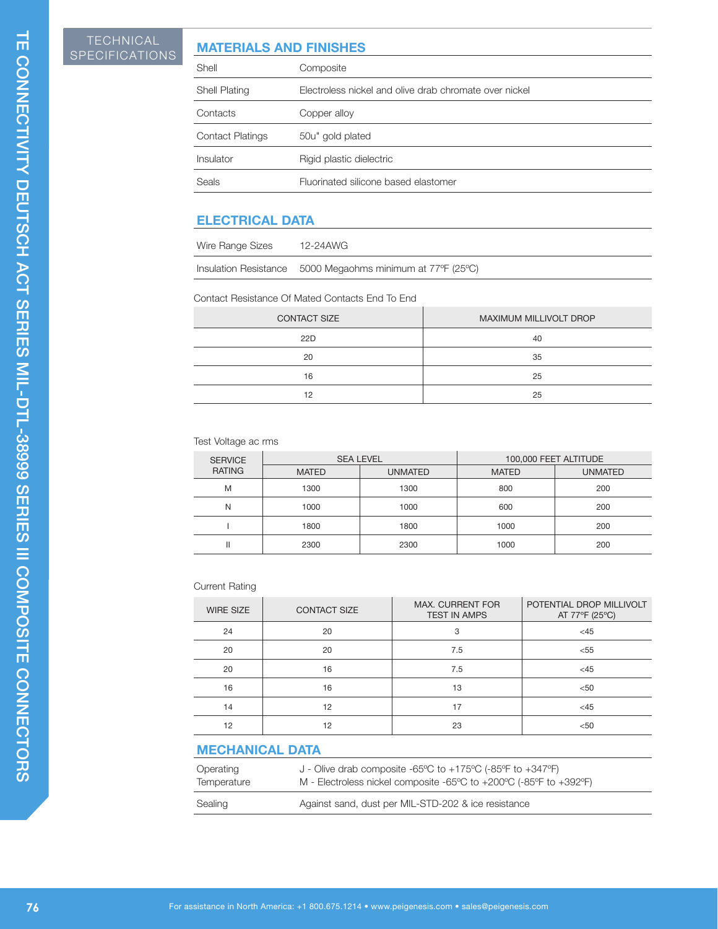## **MATERIALS AND FINISHES**

|                                                         | <b>TECHNICAL</b><br>SPECIFICATIONS                             |                                 | <b>MATERIALS AND FINISHES</b>                                                                |                                                                                                                                  |      |                                         |    |                                            |  |
|---------------------------------------------------------|----------------------------------------------------------------|---------------------------------|----------------------------------------------------------------------------------------------|----------------------------------------------------------------------------------------------------------------------------------|------|-----------------------------------------|----|--------------------------------------------|--|
|                                                         |                                                                | Shell                           | Composite                                                                                    |                                                                                                                                  |      |                                         |    |                                            |  |
| TE CONNECTIVITY DEUTSCH ACT SERIES MIL-DTL-38999 SERIES |                                                                | Shell Plating                   |                                                                                              | Electroless nickel and olive drab chromate over nickel                                                                           |      |                                         |    |                                            |  |
|                                                         |                                                                | Contacts                        | Copper alloy                                                                                 |                                                                                                                                  |      |                                         |    |                                            |  |
|                                                         |                                                                | <b>Contact Platings</b>         | 50u" gold plated                                                                             |                                                                                                                                  |      |                                         |    |                                            |  |
|                                                         |                                                                | Insulator                       | Rigid plastic dielectric                                                                     |                                                                                                                                  |      |                                         |    |                                            |  |
|                                                         |                                                                | Seals                           |                                                                                              | Fluorinated silicone based elastomer                                                                                             |      |                                         |    |                                            |  |
|                                                         |                                                                |                                 |                                                                                              |                                                                                                                                  |      |                                         |    |                                            |  |
|                                                         |                                                                | <b>ELECTRICAL DATA</b>          |                                                                                              |                                                                                                                                  |      |                                         |    |                                            |  |
|                                                         |                                                                | Wire Range Sizes                | 12-24AWG                                                                                     |                                                                                                                                  |      |                                         |    |                                            |  |
|                                                         |                                                                | Insulation Resistance           |                                                                                              | 5000 Megaohms minimum at 77°F (25°C)                                                                                             |      |                                         |    |                                            |  |
|                                                         |                                                                |                                 | Contact Resistance Of Mated Contacts End To End                                              |                                                                                                                                  |      |                                         |    |                                            |  |
|                                                         |                                                                |                                 | <b>CONTACT SIZE</b>                                                                          |                                                                                                                                  |      |                                         |    | MAXIMUM MILLIVOLT DROP                     |  |
|                                                         |                                                                |                                 | 22D                                                                                          |                                                                                                                                  |      |                                         | 40 |                                            |  |
|                                                         |                                                                |                                 | 20                                                                                           |                                                                                                                                  |      |                                         | 35 |                                            |  |
|                                                         |                                                                |                                 | 16                                                                                           |                                                                                                                                  | 25   |                                         |    |                                            |  |
|                                                         |                                                                |                                 | 12                                                                                           |                                                                                                                                  |      |                                         | 25 |                                            |  |
|                                                         |                                                                |                                 |                                                                                              |                                                                                                                                  |      |                                         |    |                                            |  |
|                                                         |                                                                | Test Voltage ac rms             |                                                                                              |                                                                                                                                  |      |                                         |    |                                            |  |
|                                                         |                                                                | <b>SERVICE</b><br><b>RATING</b> | <b>SEA LEVEL</b><br><b>MATED</b>                                                             | <b>UNMATED</b>                                                                                                                   |      | 100,000 FEET ALTITUDE<br><b>MATED</b>   |    | <b>UNMATED</b>                             |  |
|                                                         |                                                                | M                               | 1300                                                                                         | 1300                                                                                                                             |      | 800                                     |    | 200                                        |  |
|                                                         | N                                                              |                                 | 1000                                                                                         | 1000                                                                                                                             |      | 600                                     |    | 200                                        |  |
|                                                         |                                                                | $\overline{1}$                  | 1800                                                                                         | 1800                                                                                                                             | 1000 |                                         |    | 200                                        |  |
|                                                         |                                                                | $\,$ $\,$ $\,$                  | 2300                                                                                         | 2300                                                                                                                             |      | 1000                                    |    | 200                                        |  |
| COMPOSITE CONNECTORS                                    |                                                                | <b>Current Rating</b>           |                                                                                              |                                                                                                                                  |      |                                         |    |                                            |  |
|                                                         |                                                                | <b>WIRE SIZE</b>                | <b>CONTACT SIZE</b>                                                                          |                                                                                                                                  |      | MAX. CURRENT FOR<br><b>TEST IN AMPS</b> |    | POTENTIAL DROP MILLIVOLT<br>AT 77°F (25°C) |  |
|                                                         |                                                                | 24                              | 20                                                                                           |                                                                                                                                  |      | 3                                       |    | $<45$                                      |  |
|                                                         |                                                                | 20                              | 20                                                                                           |                                                                                                                                  |      | 7.5                                     |    | < 55                                       |  |
|                                                         |                                                                | 20                              | 16                                                                                           |                                                                                                                                  |      | 7.5                                     |    | <45                                        |  |
|                                                         |                                                                | 16<br>14                        | 16<br>12                                                                                     |                                                                                                                                  |      | 13<br>17                                |    | $50$<br>$<45$                              |  |
|                                                         |                                                                | 12                              | 12                                                                                           |                                                                                                                                  |      | 23                                      |    | $50$                                       |  |
|                                                         |                                                                | <b>MECHANICAL DATA</b>          |                                                                                              |                                                                                                                                  |      |                                         |    |                                            |  |
|                                                         |                                                                | Operating<br>Temperature        |                                                                                              | J - Olive drab composite -65°C to +175°C (-85°F to +347°F)<br>M - Electroless nickel composite -65°C to +200°C (-85°F to +392°F) |      |                                         |    |                                            |  |
|                                                         | Against sand, dust per MIL-STD-202 & ice resistance<br>Sealing |                                 |                                                                                              |                                                                                                                                  |      |                                         |    |                                            |  |
|                                                         |                                                                |                                 |                                                                                              |                                                                                                                                  |      |                                         |    |                                            |  |
| 76                                                      |                                                                |                                 | For assistance in North America: +1 800.675.1214 • www.peigenesis.com • sales@peigenesis.com |                                                                                                                                  |      |                                         |    |                                            |  |

### **ELECTRICAL DATA**

| Wire Range Sizes | 12-24AWG                                                   |
|------------------|------------------------------------------------------------|
|                  | Insulation Resistance 5000 Megaohms minimum at 77°F (25°C) |

#### Contact Resistance Of Mated Contacts End To End

| <b>CONTACT SIZE</b> | MAXIMUM MILLIVOLT DROP |  |  |
|---------------------|------------------------|--|--|
| 22D                 | 40                     |  |  |
| 20                  | 35                     |  |  |
| 16                  | 25                     |  |  |
| 12                  | 25                     |  |  |

#### Test Voltage ac rms

| <b>SERVICE</b> | <b>SEA LEVEL</b> |                | 100,000 FEET ALTITUDE |                |  |
|----------------|------------------|----------------|-----------------------|----------------|--|
| <b>RATING</b>  | <b>MATED</b>     | <b>UNMATED</b> | <b>MATED</b>          | <b>UNMATED</b> |  |
| M              | 1300             | 1300           | 800                   | 200            |  |
| N              | 1000             | 1000           | 600                   | 200            |  |
|                | 1800             | 1800           | 1000                  | 200            |  |
|                | 2300             | 2300           | 1000                  | 200            |  |

#### Current Rating

| <b>WIRE SIZE</b> | <b>CONTACT SIZE</b> | <b>MAX. CURRENT FOR</b><br><b>TEST IN AMPS</b> | POTENTIAL DROP MILLIVOLT<br>AT 77°F (25°C) |
|------------------|---------------------|------------------------------------------------|--------------------------------------------|
| 24               | 20                  | 3                                              | $<$ 45                                     |
| 20               | 20                  | 7.5                                            | < 55                                       |
| 20               | 16                  | 7.5                                            | $<$ 45                                     |
| 16               | 16                  | 13                                             | < 50                                       |
| 14               | 12                  | 17                                             | $<$ 45                                     |
| 12               | 12                  | 23                                             | < 50                                       |

## **MECHANICAL DATA**

| Operating   | J - Olive drab composite -65 $\degree$ C to +175 $\degree$ C (-85 $\degree$ F to +347 $\degree$ F)         |
|-------------|------------------------------------------------------------------------------------------------------------|
| Temperature | M - Electroless nickel composite -65 $\degree$ C to +200 $\degree$ C (-85 $\degree$ F to +392 $\degree$ F) |
| Sealing     | Against sand, dust per MIL-STD-202 & ice resistance                                                        |